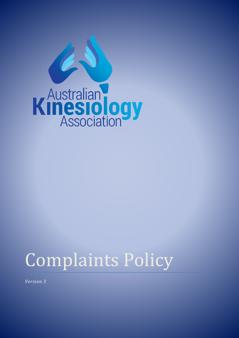

# Complaints Policy

*Version 3*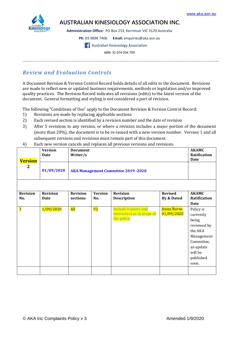

# **AUSTRALIAN KINESIOLOGY ASSOCIATION INC.**

**Administration Office:** PO Box 233, Kerrimuir VIC 3129 Australia

**Ph:** 03 9898 7406 **Email:** enquiries@aka.asn.au

**Australian Kinesiology Association** 

ABN: 31 074 034 709  $\_$  ,  $\_$  ,  $\_$  ,  $\_$  ,  $\_$  ,  $\_$  ,  $\_$  ,  $\_$  ,  $\_$  ,  $\_$  ,  $\_$  ,  $\_$  ,  $\_$  ,  $\_$  ,  $\_$  ,  $\_$  ,  $\_$  ,  $\_$  ,  $\_$  ,  $\_$  ,  $\_$  ,  $\_$  ,  $\_$  ,  $\_$  ,  $\_$  ,  $\_$  ,  $\_$  ,  $\_$  ,  $\_$  ,  $\_$  ,  $\_$  ,  $\_$  ,  $\_$  ,  $\_$  ,  $\_$  ,  $\_$  ,  $\_$  ,

# *Review and Evaluation Controls*

A Document Revision & Version Control Record holds details of all edits to the document. Revisions are made to reflect new or updated business requirements, methods or legislation and/or improved quality practices. The Revision Record indicates all revisions (edits) to the latest version of the document. General formatting and styling is not considered a part of revision.

The following "Conditions of Use" apply to the Document Revision & Version Control Record:

- 1) Revisions are made by replacing applicable sections
- 2) Each revised section is identified by a revision number and the date of revision
- 3) After 5 revisions to any version, or where a revision includes a major portion of the document (more than 20%), the document is to be re-issued with a new version number. Version 1 and all subsequent versions and revisions must remain part of this document.

| <b>Version</b>  | <b>Version</b><br><b>Date</b> | <b>Document</b><br>Writer/s                |                |                                                                         |                           | <b>AKAMC</b><br>Ratification<br><b>Date</b>                                                                                                 |  |  |
|-----------------|-------------------------------|--------------------------------------------|----------------|-------------------------------------------------------------------------|---------------------------|---------------------------------------------------------------------------------------------------------------------------------------------|--|--|
| $\mathbf{2}$    | 01/09/2020                    | <b>AKA Management Committee 2019 -2020</b> |                |                                                                         |                           |                                                                                                                                             |  |  |
|                 |                               |                                            |                |                                                                         |                           |                                                                                                                                             |  |  |
| <b>Revision</b> | <b>Revision</b>               | <b>Revision</b>                            | <b>Version</b> | <b>Revision</b>                                                         | <b>Revised</b>            | <b>AKAMC</b>                                                                                                                                |  |  |
| No.             | <b>Date</b>                   | sections                                   | No.            | <b>Description</b>                                                      | By & Dated                | Ratification                                                                                                                                |  |  |
| $\mathbf{1}$    | 1/09/2020                     | <b>All</b>                                 | V2             | <b>Include trainers and</b><br>instructors as in scope of<br>the policy | Jenne Burns<br>01/09/2020 | Date<br>Policy is<br>currently<br>being<br>reviewed by<br>the AKA<br>Management<br>Committee,<br>an update<br>will be<br>published<br>soon. |  |  |
|                 |                               |                                            |                |                                                                         |                           |                                                                                                                                             |  |  |

4) Each new version cancels and replaces all previous versions and revisions.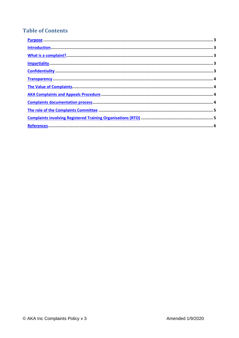# **Table of Contents**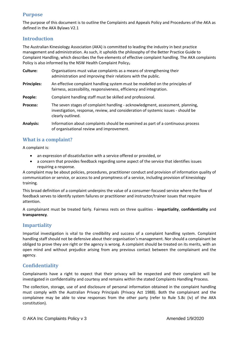#### <span id="page-3-0"></span>**Purpose**

The purpose of this document is to outline the Complaints and Appeals Policy and Procedures of the AKA as defined in the AKA Bylaws V2.1

#### <span id="page-3-1"></span>**Introduction**

The Australian Kinesiology Association (AKA) is committed to leading the industry in best practice management and administration. As such, it upholds the philosophy of the Better Practice Guide to Complaint Handling<sub>1</sub> which describes the five elements of effective complaint handling. The AKA complaints Policy is also informed by the NSW Health Complaint Policy<sub>2</sub>

- **Culture:** Organisations must value complaints as a means of strengthening their administration and improving their relations with the public.
- **Principles:** An effective complaint handling system must be modelled on the principles of fairness, accessibility, responsiveness, efficiency and integration.
- People: Complaint handling staff must be skilled and professional.
- **Process:** The seven stages of complaint handling acknowledgment, assessment, planning, investigation, response, review, and consideration of systemic issues - should be clearly outlined.
- **Analysis:** Information about complaints should be examined as part of a continuous process of organisational review and improvement.

#### <span id="page-3-2"></span>**What is a complaint?**

A complaint is:

- an expression of dissatisfaction with a service offered or provided, or
- a concern that provides feedback regarding some aspect of the service that identifies issues requiring a response.

A complaint may be about policies, procedures, practitioner conduct and provision of information quality of communication or service, or access to and promptness of a service, including provision of kinesiology training.

This broad definition of a complaint underpins the value of a consumer-focused service where the flow of feedback serves to identify system failures or practitioner and instructor/trainer issues that require attention.

A complainant must be treated fairly. Fairness rests on three qualities - **impartiality**, **confidentiality** and **transparency**.

#### <span id="page-3-3"></span>**Impartiality**

Impartial investigation is vital to the credibility and success of a complaint handling system. Complaint handling staff should not be defensive about their organisation's management. Nor should a complainant be obliged to prove they are right or the agency is wrong. A complaint should be treated on its merits, with an open mind and without prejudice arising from any previous contact between the complainant and the agency.

#### <span id="page-3-4"></span>**Confidentiality**

Complainants have a right to expect that their privacy will be respected and their complaint will be investigated in confidentiality and courtesy and remains within the stated Complaints Handling Process.

The collection, storage, use of and disclosure of personal information obtained in the complaint handling must comply with the Australian Privacy Principals (Privacy Act 1988). Both the complainant and the complainee may be able to view responses from the other party (refer to Rule 5.8c (iv) of the AKA constitution).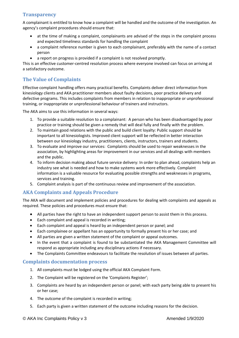#### <span id="page-4-0"></span>**Transparency**

A complainant is entitled to know how a complaint will be handled and the outcome of the investigation. An agency's complaint procedures should ensure that:

- at the time of making a complaint, complainants are advised of the steps in the complaint process and expected timeliness standards for handling the complaint
- a complaint reference number is given to each complainant, preferably with the name of a contact person
- a report on progress is provided if a complaint is not resolved promptly.

This is an effective customer-centred resolution process where everyone involved can focus on arriving at a satisfactory outcome.

# <span id="page-4-1"></span>**The Value of Complaints**

Effective complaint handling offers many practical benefits. Complaints deliver direct information from kinesiology clients and AKA practitioner members about faulty decisions, poor practice delivery and defective programs. This includes complaints from members in relation to inappropriate or unprofessional training, or inappropriate or unprofessional behaviour of trainers and instructors.

The AKA aims to use this information in several ways:

- 1. To provide a suitable resolution to a complainant: A person who has been disadvantaged by poor practice or training should be given a remedy that will deal fully and finally with the problem.
- 2. To maintain good relations with the public and build client loyalty: Public support should be important to all kinesiologists. Improved client support will be reflected in better interaction between our kinesiology industry, practitioners, clients, instructors, trainers and students.
- 3. To evaluate and improve our services: Complaints should be used to repair weaknesses in the association, by highlighting areas for improvement in our services and all dealings with members and the public.
- 4. To inform decision making about future service delivery: In order to plan ahead, complaints help an industry see what is needed and how to make systems work more effectively. Complaint information is a valuable resource for evaluating possible strengths and weaknesses in programs, services and training.
- 5. Complaint analysis is part of the continuous review and improvement of the association.

# <span id="page-4-2"></span>**AKA Complaints and Appeals Procedure**

The AKA will document and implement policies and procedures for dealing with complaints and appeals as required. These policies and procedures must ensure that:

- All parties have the right to have an independent support person to assist them in this process.
- Each complaint and appeal is recorded in writing;
- Each complaint and appeal is heard by an independent person or panel; and
- Each complainee or appellant has an opportunity to formally present his or her case; and
- All parties are given a written statement of the complaint or appeal outcomes.
- In the event that a complaint is found to be substantiated the AKA Management Committee will respond as appropriate including any disciplinary actions if necessary.
- The Complaints Committee endeavours to facilitate the resolution of issues between all parties.

#### <span id="page-4-3"></span>**Complaints documentation process**

- 1. All complaints must be lodged using the official AKA Complaint Form.
- 2. The Complaint will be registered on the 'Complaints Register';
- 3. Complaints are heard by an independent person or panel; with each party being able to present his or her case;
- 4. The outcome of the complaint is recorded in writing;
- 5. Each party is given a written statement of the outcome including reasons for the decision.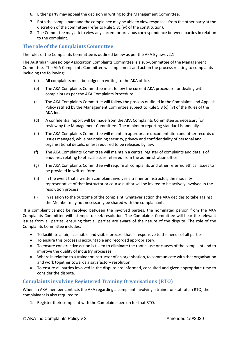- 6. Either party may appeal the decision in writing to the Management Committee.
- 7. Both the complainant and the complainee may be able to view responses from the other party at the discretion of the committee (refer to Rule 5.8c (iv) of the constitution).
- 8. The Committee may ask to view any current or previous correspondence between parties in relation to the complaint.

### <span id="page-5-0"></span>**The role of the Complaints Committee**

The roles of the Complaints Committee is outlined below as per the AKA Bylaws v2.1

The Australian Kinesiology Association Complaints Committee is a sub-Committee of the Management Committee. The AKA Complaints Committee will implement and action the process relating to complaints including the following:

- (a) All complaints must be lodged in writing to the AKA office.
- (b) The AKA Complaints Committee must follow the current AKA procedure for dealing with complaints as per the AKA Complaints Procedure.
- (c) The AKA Complaints Committee will follow the process outlined in the Complaints and Appeals Policy ratified by the Management Committee subject to Rule 5.8 (c) (iv) of the Rules of the AKA Inc.
- (d) A confidential report will be made from the AKA Complaints Committee as necessary for review by the Management Committee. The minimum reporting standard is annually.
- (e) The AKA Complaints Committee will maintain appropriate documentation and other records of issues managed, while maintaining security, privacy and confidentiality of personal and organisational details, unless required to be released by law.
- (f) The AKA Complaints Committee will maintain a central register of complaints and details of enquiries relating to ethical issues referred from the administration office.
- (g) The AKA Complaints Committee will require all complaints and other referred ethical issues to be provided in written form.
- (h) In the event that a written complaint involves a trainer or instructor, the modality representative of that instructor or course author will be invited to be actively involved in the resolution process.
- (i) In relation to the outcome of the complaint, whatever action the AKA decides to take against the Member may not necessarily be shared with the complainant.

If a complaint cannot be resolved between the involved parties, the nominated person from the AKA Complaints Committee will attempt to seek resolution. The Complaints Committee will hear the relevant issues from all parties, ensuring that all parties are aware of the nature of the dispute. The role of the Complaints Committee includes:

- To facilitate a fair, accessible and visible process that is responsive to the needs of all parties.
- To ensure this process is accountable and recorded appropriately.
- To ensure constructive action is taken to eliminate the root cause or causes of the complaint and to improve the quality of industry processes.
- Where in relation to a trainer or instructor of an organisation, to communicate with that organisation and work together towards a satisfactory resolution.
- To ensure all parties involved in the dispute are informed, consulted and given appropriate time to consider the dispute.

# <span id="page-5-1"></span>**Complaints involving Registered Training Organisations (RTO)**

When an AKA member contacts the AKA regarding a complaint involving a trainer or staff of an RTO, the complainant is also required to:

1. Register their complaint with the Complaints person for that RTO.